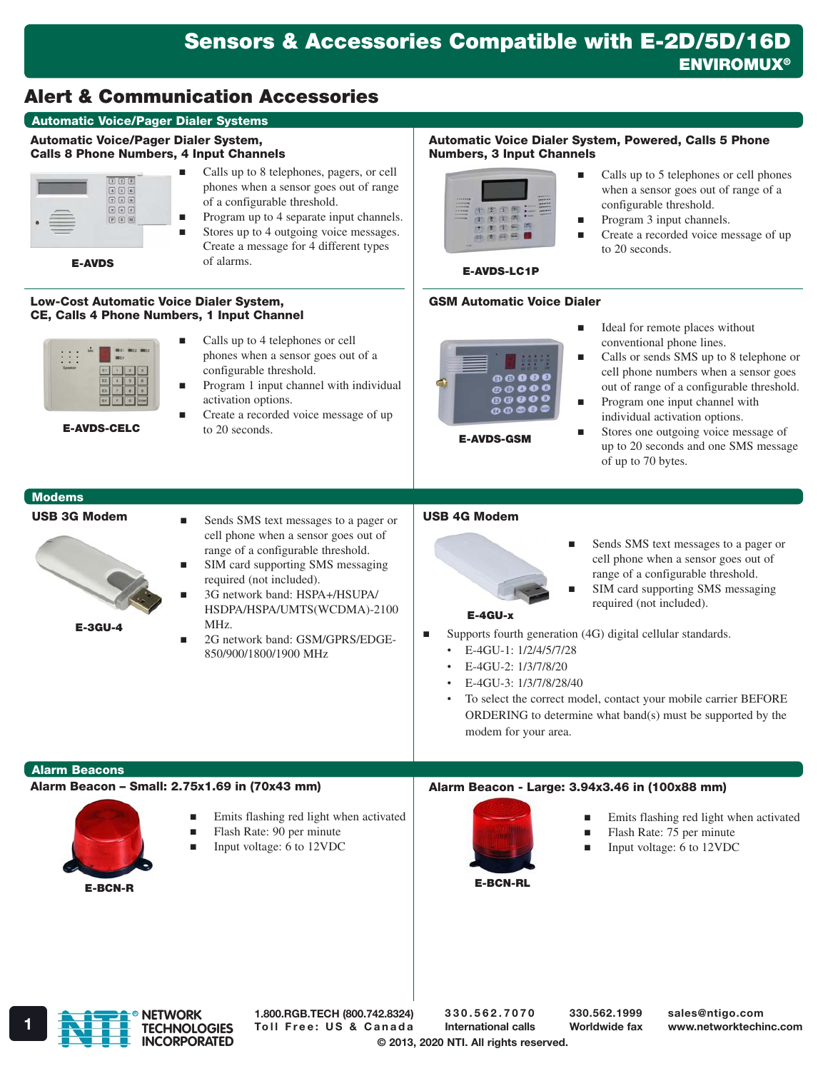# Alert & Communication Accessories

# Automatic Voice/Pager Dialer Systems

#### Automatic Voice/Pager Dialer System, Calls 8 Phone Numbers, 4 Input Channels



E-AVDS

■ Calls up to 8 telephones, pagers, or cell phones when a sensor goes out of range of a configurable threshold. Program up to 4 separate input channels.

Stores up to 4 outgoing voice messages. Create a message for 4 different types of alarms.

#### Low-Cost Automatic Voice Dialer System, CE, Calls 4 Phone Numbers, 1 Input Channel

|  | mri<br>Wa. | <b>WE2 ME3</b> |
|--|------------|----------------|
|  |            |                |
|  |            |                |
|  |            |                |
|  |            |                |

E-AVDS-CELC

- Calls up to 4 telephones or cell phones when a sensor goes out of a configurable threshold. Program 1 input channel with individual
	- activation options. Create a recorded voice message of up
	- to 20 seconds.

#### Automatic Voice Dialer System, Powered, Calls 5 Phone Numbers, 3 Input Channels



- Calls up to 5 telephones or cell phones when a sensor goes out of range of a configurable threshold.
- **Program 3 input channels.**
- Create a recorded voice message of up to 20 seconds.

# E-AVDS-LC1P

## GSM Automatic Voice Dialer



E-AVDS-GSM

- Ideal for remote places without conventional phone lines.
- Calls or sends SMS up to 8 telephone or cell phone numbers when a sensor goes out of range of a configurable threshold.
- **Program one input channel with** individual activation options.
- Stores one outgoing voice message of up to 20 seconds and one SMS message of up to 70 bytes.

# Modems

#### USB 3G Modem



- Sends SMS text messages to a pager or cell phone when a sensor goes out of range of a configurable threshold. SIM card supporting SMS messaging
	- required (not included). 3G network band: HSPA+/HSUPA/
- HSDPA/HSPA/UMTS(WCDMA)-2100 MHz.
- 2G network band: GSM/GPRS/EDGE-850/900/1800/1900 MHz

# USB 4G Modem



- Sends SMS text messages to a pager or cell phone when a sensor goes out of range of a configurable threshold.
	- SIM card supporting SMS messaging required (not included).

#### E-4GU-x

- Supports fourth generation (4G) digital cellular standards.
	- E-4GU-1: 1/2/4/5/7/28
	- E-4GU-2: 1/3/7/8/20
	- E-4GU-3: 1/3/7/8/28/40
	- To select the correct model, contact your mobile carrier BEFORE ORDERING to determine what band(s) must be supported by the modem for your area.

## Alarm Beacons

# Alarm Beacon – Small: 2.75x1.69 in (70x43 mm)



- **Emits flashing red light when activated**
- Flash Rate: 90 per minute
- Input voltage: 6 to 12VDC

# Alarm Beacon - Large: 3.94x3.46 in (100x88 mm)



- Emits flashing red light when activated
- Flash Rate: 75 per minute
- Input voltage: 6 to 12VDC

E-BCN-RL



1.800.RGB.TECH (800.742.8324)

330.562.7070 International calls

330.562.1999 Worldwide fax

sales@ntigo.com

© 2013, 2020 NTI. All rights reserved.